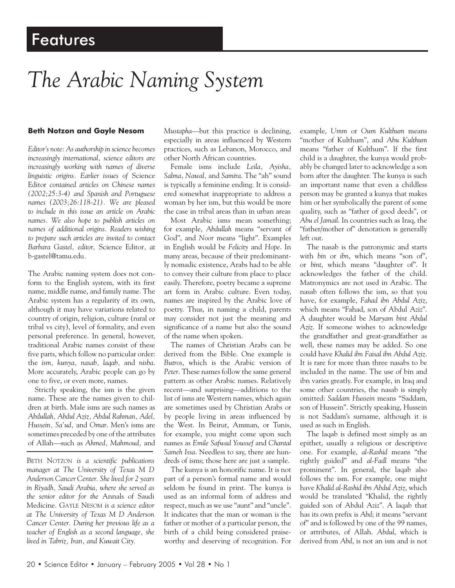# *The Arabic Naming System*

### **Beth Notzon and Gayle Nesom**

*Editor's note: As authorship in science becomes increasingly international, science editors are increasingly working with names of diverse linguistic origins. Earlier issues of* Science Editor *contained articles on Chinese names (2002;25:3-4) and Spanish and Portuguese names (2003;26:118-21). We are pleased to include in this issue an article on Arabic names. We also hope to publish articles on names of additional origins. Readers wishing to prepare such articles are invited to contact Barbara Gastel, editor,* Science Editor*, at* b-gastel@tamu.edu*.*

The Arabic naming system does not conform to the English system, with its first name, middle name, and family name. The Arabic system has a regularity of its own, although it may have variations related to country of origin, religion, culture (rural or tribal vs city), level of formality, and even personal preference. In general, however, traditional Arabic names consist of these five parts, which follow no particular order: the *ism, kunya, nasab, laqab,* and *nisba*. More accurately, Arabic people can go by one to five, or even more, names.

Strictly speaking, the ism is the given name. These are the names given to children at birth. Male isms are such names as *Abdullah, Abdul Aziz, Abdul Rahman, Adel, Hussein, Sa'ud,* and *Omar*. Men's isms are sometimes preceded by one of the attributes of Allah—such as *Ahmed, Mahmoud,* and

BETH NOTZON *is a scientific publications manager at The University of Texas M D Anderson Cancer Center. She lived for 2 years in Riyadh, Saudi Arabia, where she served as the senior editor for the* Annals of Saudi Medicine. GAYLE NESOM *is a science editor at The University of Texas M D Anderson Cancer Center. During her previous life as a teacher of English as a second language, she lived in Tabriz, Iran, and Kuwait City.*

*Mustapha*—but this practice is declining, especially in areas influenced by Western practices, such as Lebanon, Morocco, and other North African countries.

Female isms include *Leila, Ayisha, Salma, Nawal,* and *Samira*. The "ah" sound is typically a feminine ending. It is considered somewhat inappropriate to address a woman by her ism, but this would be more the case in tribal areas than in urban areas

Most Arabic isms mean something; for example, *Abdullah* means "servant of God", and *Noor* means "light". Examples in English would be *Felicity* and *Hope*. In many areas, because of their predominantly nomadic existence, Arabs had to be able to convey their culture from place to place easily. Therefore, poetry became a supreme art form in Arabic culture. Even today, names are inspired by the Arabic love of poetry. Thus, in naming a child, parents may consider not just the meaning and significance of a name but also the sound of the name when spoken.

The names of Christian Arabs can be derived from the Bible. One example is *Butros*, which is the Arabic version of *Peter*. These names follow the same general pattern as other Arabic names. Relatively recent—and surprising—additions to the list of isms are Western names, which again are sometimes used by Christian Arabs or by people living in areas influenced by the West. In Beirut, Amman, or Tunis, for example, you might come upon such names as *Emile Safwad Youssef* and *Chantal Sameh Issa*. Needless to say, there are hundreds of isms; those here are just a sample.

The kunya is an honorific name. It is not part of a person's formal name and would seldom be found in print. The kunya is used as an informal form of address and respect, much as we use "aunt" and "uncle". It indicates that the man or woman is the father or mother of a particular person, the birth of a child being considered praiseworthy and deserving of recognition. For

example, *Umm* or *Oum Kulthum* means "mother of Kulthum", and *Abu Kulthum* means "father of Kulthum". If the first child is a daughter, the kunya would probably be changed later to acknowledge a son born after the daughter. The kunya is such an important name that even a childless person may be granted a kunya that makes him or her symbolically the parent of some quality, such as "father of good deeds", or *Abu el Jamail*. In countries such as Iraq, the "father/mother of" denotation is generally left out.

The nasab is the patronymic and starts with *bin* or *ibn*, which means "son of", or *bint*, which means "daughter of". It acknowledges the father of the child. Matronymics are not used in Arabic. The nasab often follows the ism, so that you have, for example, *Fahad ibn Abdul Aziz*, which means "Fahad, son of Abdul Aziz". A daughter would be *Maryam bint Abdul Aziz*. If someone wishes to acknowledge the grandfather and great-grandfather as well, these names may be added. So one could have *Khalid ibn Faisal ibn Abdul Aziz*. It is rare for more than three nasabs to be included in the name. The use of bin and ibn varies greatly. For example, in Iraq and some other countries, the nasab is simply omitted: *Saddam Hussein* means "Saddam, son of Hussein". Strictly speaking, Hussein is not Saddam's surname, although it is used as such in English.

The laqab is defined most simply as an epithet, usually a religious or descriptive one. For example, *al-Rashid* means "the rightly guided" and *al-Fadl* means "the prominent". In general, the laqab also follows the ism. For example, one might have *Khalid al-Rashid ibn Abdul Aziz*, which would be translated "Khalid, the rightly guided son of Abdul Aziz". A laqab that has its own prefix is *Abd*; it means "servant of" and is followed by one of the 99 names, or attributes, of Allah. *Abdul*, which is derived from *Abd*, is not an ism and is not